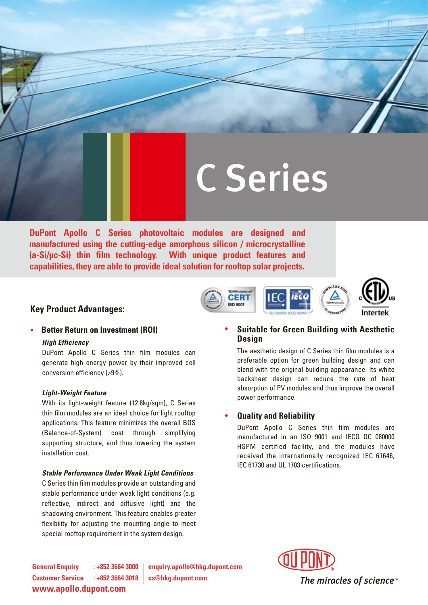# C Series

**CERT** 

**DuPont Apollo C Series photovoltaic modules are designed and manufactured using the cutting-edge amorphous silicon / microcrystalline (a-Si/uc-Si) thin film technology. With unique product features and capabilities, they are able to provide ideal solution for rooftop solar projects.**

### **Key Product Advantages:**

## **Better Return on Investment (ROI)**

#### *High Efficiency*

DuPont Apollo C Series thin film modules can generate high energy power by their improved cell conversion efficiency (>9%).

#### *Light-Weight Feature*

With its light-weight feature (12.8kg/sqm), C Series thin film modules are an ideal choice for light rooftop applications. This feature minimizes the overall BOS (Balance-of-System) cost through simplifying supporting structure, and thus lowering the system installation cost.

#### *Stable Performance Under Weak Light Conditions*

C Series thin film modules provide an outstanding and stable performance under weak light conditions (e.g. reflective, indirect and diffusive light) and the shadowing environment. This feature enables greater flexibility for adjusting the mounting angle to meet special rooftop requirement in the system design.

#### **Suitable for Green Building with Aesthetic Design**

The aesthetic design of C Series thin film modules is a preferable option for green building design and can blend with the original building appearance. Its white backsheet design can reduce the rate of heat absorption of PV modules and thus improve the overall power performance.

#### **Quality and Reliability**

DuPont Apollo C Series thin film modules are manufactured in an ISO 9001 and IECQ QC 080000 HSPM certified facility, and the modules have received the internationally recognized IEC 61646, IEC 61730 and UL 1703 certifications.

**Customer Service : +852 3664 3018 cs@hkg.dupont.com www.apollo.dupont.com**

**General Enquiry : +852 3664 3000 enquiry.apollo@hkg.dupont.com**